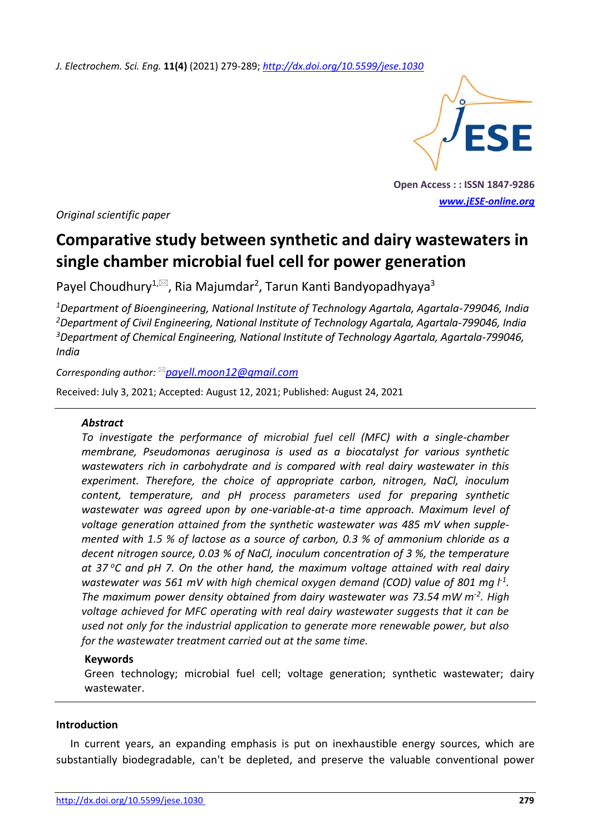*J. Electrochem. Sci. Eng.* **11(4)** (2021) 279-289; *<http://dx.doi.org/10.5599/jese.1030>*



**Open Access : : ISSN 1847-9286** *[www.jESE-online.org](http://www.jese-online.org/)*

*Original scientific paper*

# **Comparative study between synthetic and dairy wastewaters in single chamber microbial fuel cell for power generation**

Payel Choudhury<sup>1, $\boxtimes$ </sup>, Ria Majumdar<sup>2</sup>, Tarun Kanti Bandyopadhyaya<sup>3</sup>

*Department of Bioengineering, National Institute of Technology Agartala, Agartala-799046, India Department of Civil Engineering, National Institute of Technology Agartala, Agartala-799046, India Department of Chemical Engineering, National Institute of Technology Agartala, Agartala-799046, India*

*Corresponding author: [payell.moon12@gmail.com](mailto:payell.moon12@gmail.com)*

Received: July 3, 2021; Accepted: August 12, 2021; Published: August 24, 2021

### *Abstract*

*To investigate the performance of microbial fuel cell (MFC) with a single-chamber membrane, Pseudomonas aeruginosa is used as a biocatalyst for various synthetic wastewaters rich in carbohydrate and is compared with real dairy wastewater in this experiment. Therefore, the choice of appropriate carbon, nitrogen, NaCl, inoculum content, temperature, and pH process parameters used for preparing synthetic wastewater was agreed upon by one-variable-at-a time approach. Maximum level of voltage generation attained from the synthetic wastewater was 485 mV when supplemented with 1.5 % of lactose as a source of carbon, 0.3 % of ammonium chloride as a decent nitrogen source, 0.03 % of NaCl, inoculum concentration of 3 %, the temperature at 37 <sup>o</sup>C and pH 7. On the other hand, the maximum voltage attained with real dairy*  wastewater was 561 mV with high chemical oxygen demand (COD) value of 801 mg  $l<sup>1</sup>$ . *The maximum power density obtained from dairy wastewater was 73.54 mW m-2 . High voltage achieved for MFC operating with real dairy wastewater suggests that it can be used not only for the industrial application to generate more renewable power, but also for the wastewater treatment carried out at the same time.*

### **Keywords**

Green technology; microbial fuel cell; voltage generation; synthetic wastewater; dairy wastewater.

### **Introduction**

In current years, an expanding emphasis is put on inexhaustible energy sources, which are substantially biodegradable, can't be depleted, and preserve the valuable conventional power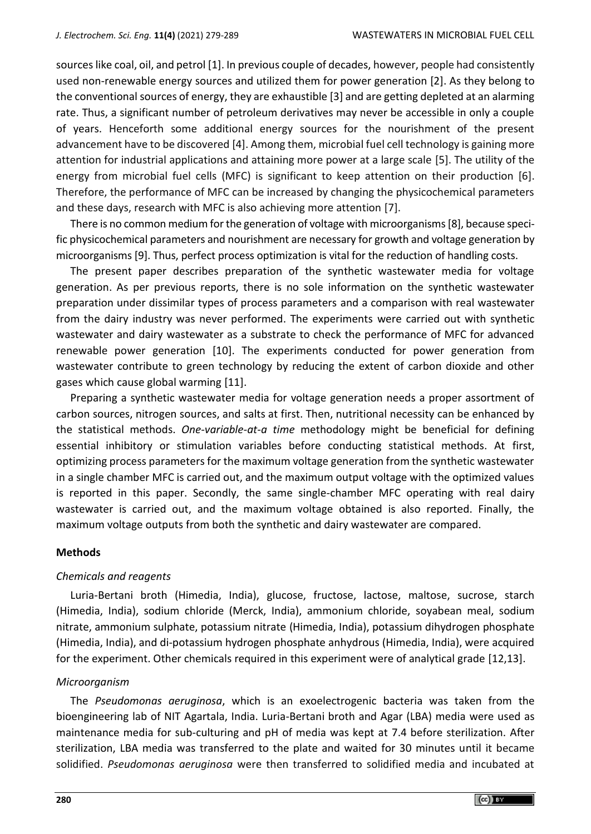sources like coal, oil, and petrol [1]. In previous couple of decades, however, people had consistently used non-renewable energy sources and utilized them for power generation [2]. As they belong to the conventional sources of energy, they are exhaustible [3] and are getting depleted at an alarming rate. Thus, a significant number of petroleum derivatives may never be accessible in only a couple of years. Henceforth some additional energy sources for the nourishment of the present advancement have to be discovered [4]. Among them, microbial fuel cell technology is gaining more attention for industrial applications and attaining more power at a large scale [5]. The utility of the energy from microbial fuel cells (MFC) is significant to keep attention on their production [6]. Therefore, the performance of MFC can be increased by changing the physicochemical parameters and these days, research with MFC is also achieving more attention [7].

There is no common medium for the generation of voltage with microorganisms [8], because specific physicochemical parameters and nourishment are necessary for growth and voltage generation by microorganisms [9]. Thus, perfect process optimization is vital for the reduction of handling costs.

The present paper describes preparation of the synthetic wastewater media for voltage generation. As per previous reports, there is no sole information on the synthetic wastewater preparation under dissimilar types of process parameters and a comparison with real wastewater from the dairy industry was never performed. The experiments were carried out with synthetic wastewater and dairy wastewater as a substrate to check the performance of MFC for advanced renewable power generation [10]. The experiments conducted for power generation from wastewater contribute to green technology by reducing the extent of carbon dioxide and other gases which cause global warming [11].

Preparing a synthetic wastewater media for voltage generation needs a proper assortment of carbon sources, nitrogen sources, and salts at first. Then, nutritional necessity can be enhanced by the statistical methods. *One-variable-at-a time* methodology might be beneficial for defining essential inhibitory or stimulation variables before conducting statistical methods. At first, optimizing process parameters for the maximum voltage generation from the synthetic wastewater in a single chamber MFC is carried out, and the maximum output voltage with the optimized values is reported in this paper. Secondly, the same single-chamber MFC operating with real dairy wastewater is carried out, and the maximum voltage obtained is also reported. Finally, the maximum voltage outputs from both the synthetic and dairy wastewater are compared.

#### **Methods**

### *Chemicals and reagents*

Luria-Bertani broth (Himedia, India), glucose, fructose, lactose, maltose, sucrose, starch (Himedia, India), sodium chloride (Merck, India), ammonium chloride, soyabean meal, sodium nitrate, ammonium sulphate, potassium nitrate (Himedia, India), potassium dihydrogen phosphate (Himedia, India), and di-potassium hydrogen phosphate anhydrous (Himedia, India), were acquired for the experiment. Other chemicals required in this experiment were of analytical grade [12,13].

#### *Microorganism*

The *Pseudomonas aeruginosa*, which is an exoelectrogenic bacteria was taken from the bioengineering lab of NIT Agartala, India. Luria-Bertani broth and Agar (LBA) media were used as maintenance media for sub-culturing and pH of media was kept at 7.4 before sterilization. After sterilization, LBA media was transferred to the plate and waited for 30 minutes until it became solidified. *Pseudomonas aeruginosa* were then transferred to solidified media and incubated at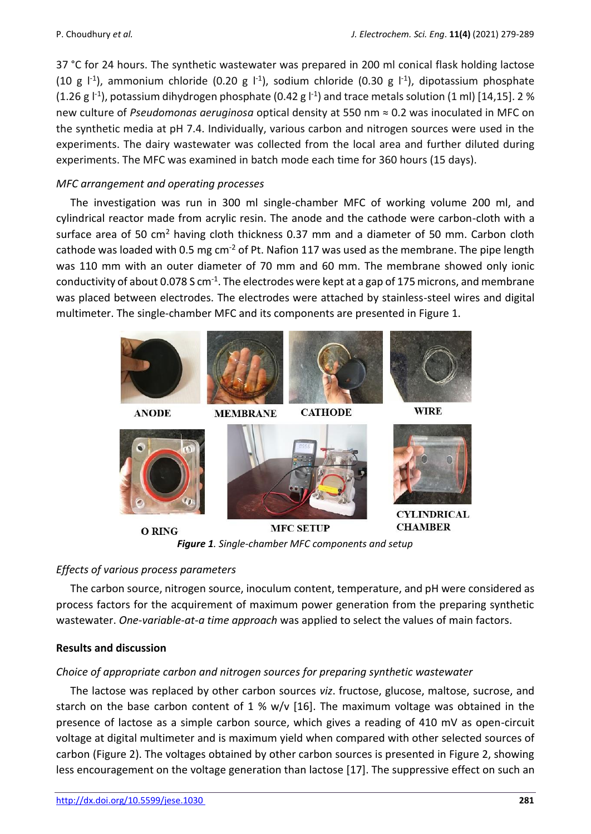37 °C for 24 hours. The synthetic wastewater was prepared in 200 ml conical flask holding lactose (10 g  $\vert$ <sup>-1</sup>), ammonium chloride (0.20 g  $\vert$ <sup>-1</sup>), sodium chloride (0.30 g  $\vert$ <sup>-1</sup>), dipotassium phosphate (1.26 g  $\mathsf{l}^{\text{-1}}$ ), potassium dihydrogen phosphate (0.42 g  $\mathsf{l}^{\text{-1}}$ ) and trace metals solution (1 ml) [14,15]. 2 % new culture of *Pseudomonas aeruginosa* optical density at 550 nm ≈ 0.2 was inoculated in MFC on the synthetic media at pH 7.4. Individually, various carbon and nitrogen sources were used in the experiments. The dairy wastewater was collected from the local area and further diluted during experiments. The MFC was examined in batch mode each time for 360 hours (15 days).

## *MFC arrangement and operating processes*

The investigation was run in 300 ml single-chamber MFC of working volume 200 ml, and cylindrical reactor made from acrylic resin. The anode and the cathode were carbon-cloth with a surface area of 50  $\text{cm}^2$  having cloth thickness 0.37 mm and a diameter of 50 mm. Carbon cloth cathode was loaded with 0.5 mg cm<sup>-2</sup> of Pt. Nafion 117 was used as the membrane. The pipe length was 110 mm with an outer diameter of 70 mm and 60 mm. The membrane showed only ionic conductivity of about 0.078 S cm<sup>-1</sup>. The electrodes were kept at a gap of 175 microns, and membrane was placed between electrodes. The electrodes were attached by stainless-steel wires and digital multimeter. The single-chamber MFC and its components are presented in Figure 1.



*Figure 1. Single-chamber MFC components and setup*

# *Effects of various process parameters*

The carbon source, nitrogen source, inoculum content, temperature, and pH were considered as process factors for the acquirement of maximum power generation from the preparing synthetic wastewater. *One-variable-at-a time approach* was applied to select the values of main factors.

### **Results and discussion**

# *Choice of appropriate carbon and nitrogen sources for preparing synthetic wastewater*

The lactose was replaced by other carbon sources *viz*. fructose, glucose, maltose, sucrose, and starch on the base carbon content of 1 %  $w/v$  [16]. The maximum voltage was obtained in the presence of lactose as a simple carbon source, which gives a reading of 410 mV as open-circuit voltage at digital multimeter and is maximum yield when compared with other selected sources of carbon (Figure 2). The voltages obtained by other carbon sources is presented in Figure 2, showing less encouragement on the voltage generation than lactose [17]. The suppressive effect on such an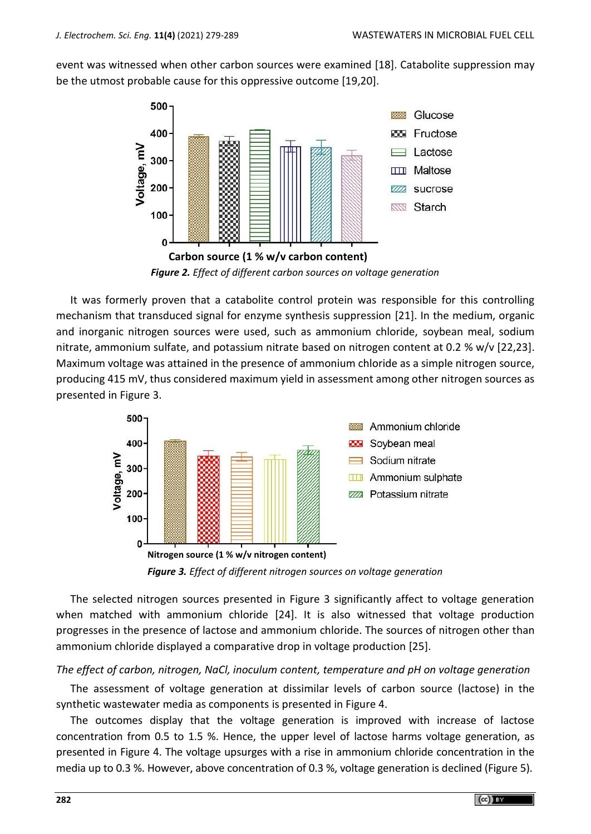event was witnessed when other carbon sources were examined [18]. Catabolite suppression may be the utmost probable cause for this oppressive outcome [19,20].



*Figure 2. Effect of different carbon sources on voltage generation*

It was formerly proven that a catabolite control protein was responsible for this controlling mechanism that transduced signal for enzyme synthesis suppression [21]. In the medium, organic and inorganic nitrogen sources were used, such as ammonium chloride, soybean meal, sodium nitrate, ammonium sulfate, and potassium nitrate based on nitrogen content at 0.2 % w/v [22,23]. Maximum voltage was attained in the presence of ammonium chloride as a simple nitrogen source, producing 415 mV, thus considered maximum yield in assessment among other nitrogen sources as presented in Figure 3.



*Figure 3. Effect of different nitrogen sources on voltage generation*

The selected nitrogen sources presented in Figure 3 significantly affect to voltage generation when matched with ammonium chloride [24]. It is also witnessed that voltage production progresses in the presence of lactose and ammonium chloride. The sources of nitrogen other than ammonium chloride displayed a comparative drop in voltage production [25].

*The effect of carbon, nitrogen, NaCl, inoculum content, temperature and pH on voltage generation* 

The assessment of voltage generation at dissimilar levels of carbon source (lactose) in the synthetic wastewater media as components is presented in Figure 4.

The outcomes display that the voltage generation is improved with increase of lactose concentration from 0.5 to 1.5 %. Hence, the upper level of lactose harms voltage generation, as presented in Figure 4. The voltage upsurges with a rise in ammonium chloride concentration in the media up to 0.3 %. However, above concentration of 0.3 %, voltage generation is declined (Figure 5).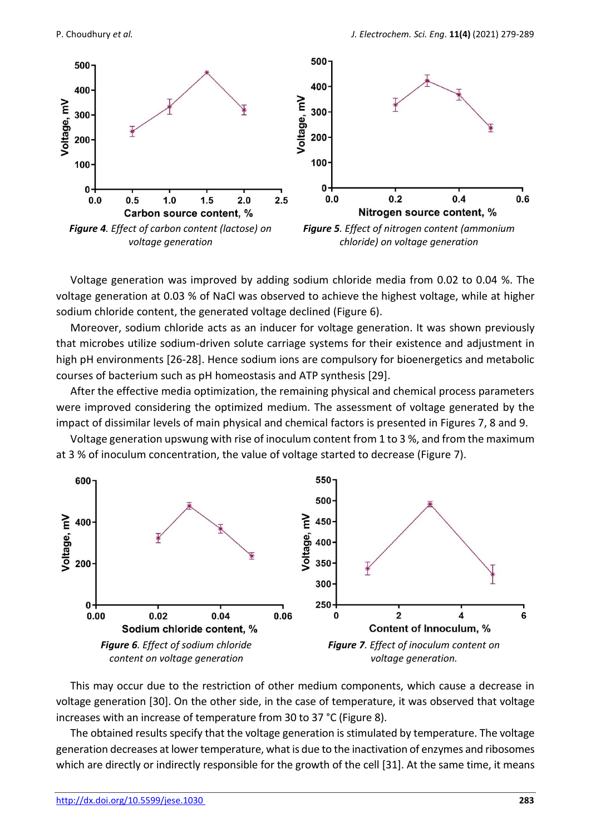

Voltage generation was improved by adding sodium chloride media from 0.02 to 0.04 %. The voltage generation at 0.03 % of NaCl was observed to achieve the highest voltage, while at higher sodium chloride content, the generated voltage declined (Figure 6).

Moreover, sodium chloride acts as an inducer for voltage generation. It was shown previously that microbes utilize sodium-driven solute carriage systems for their existence and adjustment in high pH environments [26-28]. Hence sodium ions are compulsory for bioenergetics and metabolic courses of bacterium such as pH homeostasis and ATP synthesis [29].

After the effective media optimization, the remaining physical and chemical process parameters were improved considering the optimized medium. The assessment of voltage generated by the impact of dissimilar levels of main physical and chemical factors is presented in Figures 7, 8 and 9.

Voltage generation upswung with rise of inoculum content from 1 to 3 %, and from the maximum at 3 % of inoculum concentration, the value of voltage started to decrease (Figure 7).



This may occur due to the restriction of other medium components, which cause a decrease in voltage generation [30]. On the other side, in the case of temperature, it was observed that voltage increases with an increase of temperature from 30 to 37 °C (Figure 8).

The obtained results specify that the voltage generation is stimulated by temperature. The voltage generation decreases at lower temperature, what is due to the inactivation of enzymes and ribosomes which are directly or indirectly responsible for the growth of the cell [31]. At the same time, it means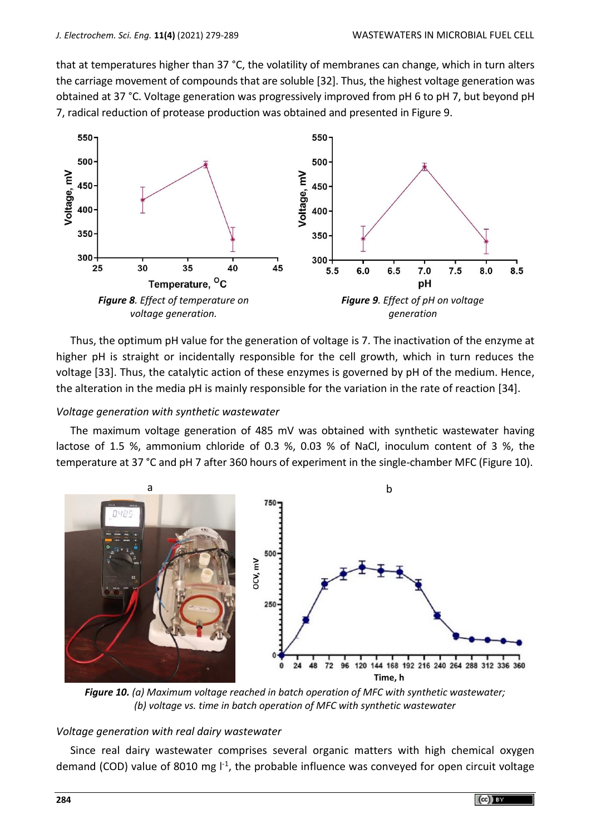that at temperatures higher than 37 °C, the volatility of membranes can change, which in turn alters the carriage movement of compounds that are soluble [32]. Thus, the highest voltage generation was obtained at 37 °C. Voltage generation was progressively improved from pH 6 to pH 7, but beyond pH 7, radical reduction of protease production was obtained and presented in Figure 9.



Thus, the optimum pH value for the generation of voltage is 7. The inactivation of the enzyme at higher pH is straight or incidentally responsible for the cell growth, which in turn reduces the voltage [33]. Thus, the catalytic action of these enzymes is governed by pH of the medium. Hence, the alteration in the media pH is mainly responsible for the variation in the rate of reaction [34].

#### *Voltage generation with synthetic wastewater*

The maximum voltage generation of 485 mV was obtained with synthetic wastewater having lactose of 1.5 %, ammonium chloride of 0.3 %, 0.03 % of NaCl, inoculum content of 3 %, the temperature at 37 °C and pH 7 after 360 hours of experiment in the single-chamber MFC (Figure 10).



*Figure 10. (a) Maximum voltage reached in batch operation of MFC with synthetic wastewater; (b) voltage vs. time in batch operation of MFC with synthetic wastewater*

#### *Voltage generation with real dairy wastewater*

Since real dairy wastewater comprises several organic matters with high chemical oxygen demand (COD) value of 8010 mg l<sup>-1</sup>, the probable influence was conveyed for open circuit voltage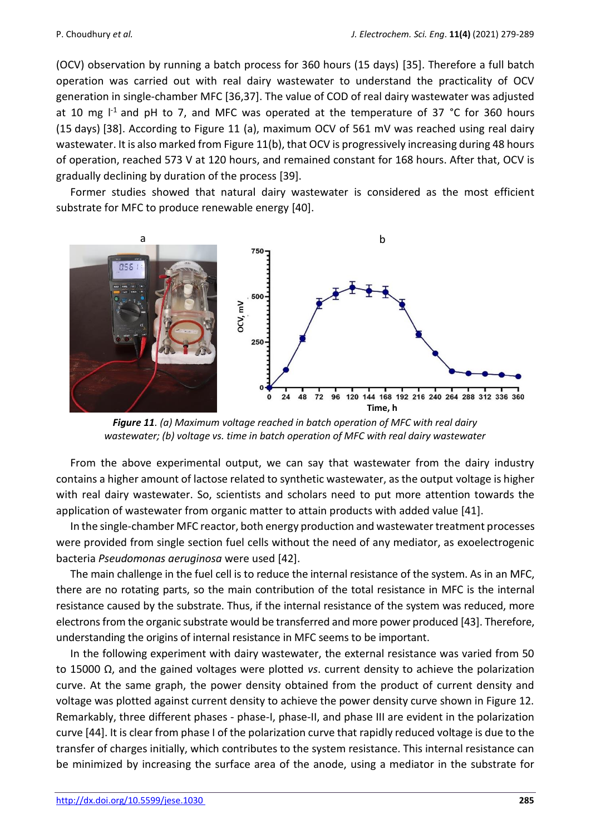(OCV) observation by running a batch process for 360 hours (15 days) [35]. Therefore a full batch operation was carried out with real dairy wastewater to understand the practicality of OCV generation in single-chamber MFC [36,37]. The value of COD of real dairy wastewater was adjusted at 10 mg  $1<sup>-1</sup>$  and pH to 7, and MFC was operated at the temperature of 37 °C for 360 hours (15 days) [38]. According to Figure 11 (a), maximum OCV of 561 mV was reached using real dairy wastewater. It is also marked from Figure 11(b), that OCV is progressively increasing during 48 hours of operation, reached 573 V at 120 hours, and remained constant for 168 hours. After that, OCV is gradually declining by duration of the process [39].

Former studies showed that natural dairy wastewater is considered as the most efficient substrate for MFC to produce renewable energy [40].



*Figure 11. (a) Maximum voltage reached in batch operation of MFC with real dairy wastewater; (b) voltage vs. time in batch operation of MFC with real dairy wastewater*

From the above experimental output, we can say that wastewater from the dairy industry contains a higher amount of lactose related to synthetic wastewater, as the output voltage is higher with real dairy wastewater. So, scientists and scholars need to put more attention towards the application of wastewater from organic matter to attain products with added value [41].

In the single-chamber MFC reactor, both energy production and wastewater treatment processes were provided from single section fuel cells without the need of any mediator, as exoelectrogenic bacteria *Pseudomonas aeruginosa* were used [42].

The main challenge in the fuel cell is to reduce the internal resistance of the system. As in an MFC, there are no rotating parts, so the main contribution of the total resistance in MFC is the internal resistance caused by the substrate. Thus, if the internal resistance of the system was reduced, more electrons from the organic substrate would be transferred and more power produced [43]. Therefore, understanding the origins of internal resistance in MFC seems to be important.

In the following experiment with dairy wastewater, the external resistance was varied from 50 to 15000 Ω, and the gained voltages were plotted *vs*. current density to achieve the polarization curve. At the same graph, the power density obtained from the product of current density and voltage was plotted against current density to achieve the power density curve shown in Figure 12. Remarkably, three different phases - phase-I, phase-II, and phase III are evident in the polarization curve [44]. It is clear from phase I of the polarization curve that rapidly reduced voltage is due to the transfer of charges initially, which contributes to the system resistance. This internal resistance can be minimized by increasing the surface area of the anode, using a mediator in the substrate for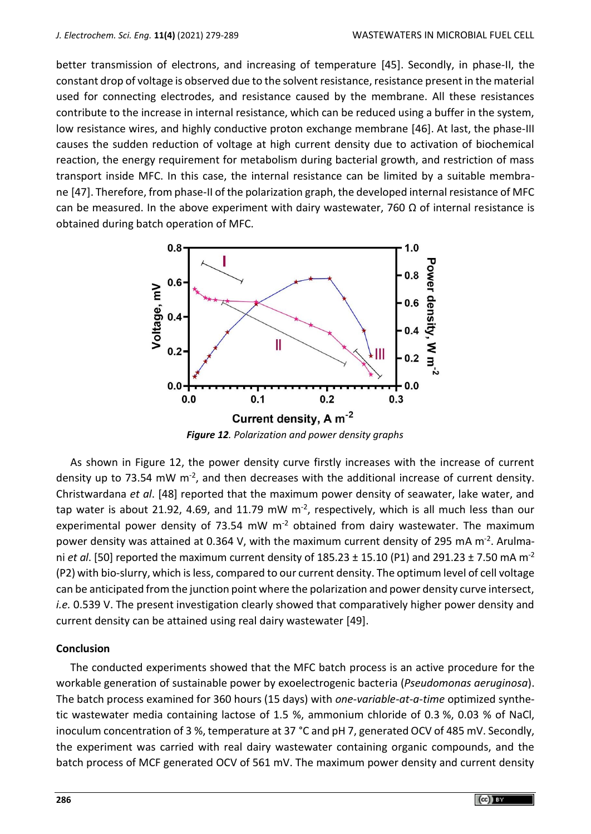better transmission of electrons, and increasing of temperature [45]. Secondly, in phase-II, the constant drop of voltage is observed due to the solvent resistance, resistance present in the material used for connecting electrodes, and resistance caused by the membrane. All these resistances contribute to the increase in internal resistance, which can be reduced using a buffer in the system, low resistance wires, and highly conductive proton exchange membrane [46]. At last, the phase-III causes the sudden reduction of voltage at high current density due to activation of biochemical reaction, the energy requirement for metabolism during bacterial growth, and restriction of mass transport inside MFC. In this case, the internal resistance can be limited by a suitable membrane [47]. Therefore, from phase-II of the polarization graph, the developed internal resistance of MFC can be measured. In the above experiment with dairy wastewater, 760  $\Omega$  of internal resistance is obtained during batch operation of MFC.



*Figure 12. Polarization and power density graphs*

As shown in Figure 12, the power density curve firstly increases with the increase of current density up to 73.54 mW  $m<sup>-2</sup>$ , and then decreases with the additional increase of current density. Christwardana *et al*. [48] reported that the maximum power density of seawater, lake water, and tap water is about 21.92, 4.69, and 11.79 mW  $m<sup>-2</sup>$ , respectively, which is all much less than our experimental power density of 73.54 mW  $m<sup>-2</sup>$  obtained from dairy wastewater. The maximum power density was attained at 0.364 V, with the maximum current density of 295 mA m<sup>-2</sup>. Arulmani *et al*. [50] reported the maximum current density of 185.23 ± 15.10 (P1) and 291.23 ± 7.50 mA m-2 (P2) with bio-slurry, which isless, compared to our current density. The optimum level of cell voltage can be anticipated from the junction point where the polarization and power density curve intersect, *i.e.* 0.539 V. The present investigation clearly showed that comparatively higher power density and current density can be attained using real dairy wastewater [49].

### **Conclusion**

The conducted experiments showed that the MFC batch process is an active procedure for the workable generation of sustainable power by exoelectrogenic bacteria (*Pseudomonas aeruginosa*). The batch process examined for 360 hours (15 days) with *one-variable-at-a-time* optimized synthetic wastewater media containing lactose of 1.5 %, ammonium chloride of 0.3 %, 0.03 % of NaCl, inoculum concentration of 3 %, temperature at 37 °C and pH 7, generated OCV of 485 mV. Secondly, the experiment was carried with real dairy wastewater containing organic compounds, and the batch process of MCF generated OCV of 561 mV. The maximum power density and current density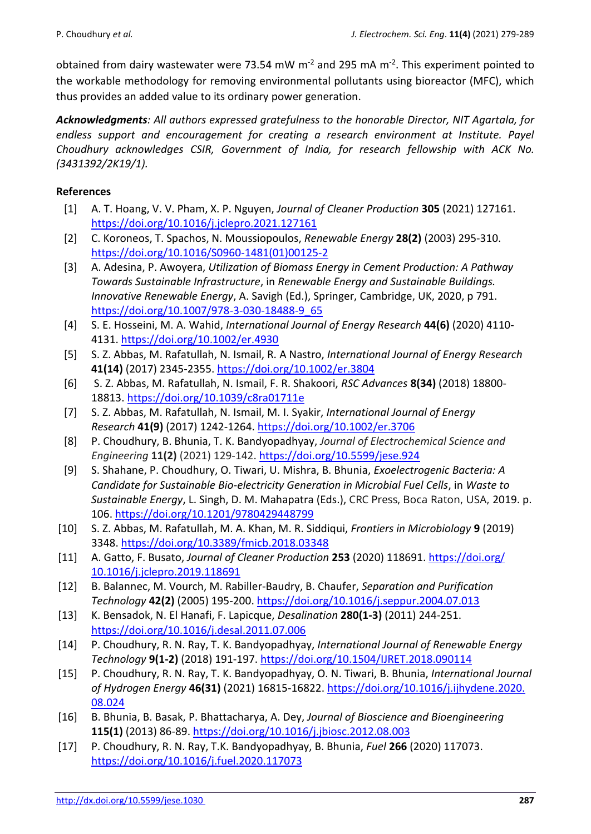obtained from dairy wastewater were 73.54 mW m<sup>-2</sup> and 295 mA m<sup>-2</sup>. This experiment pointed to the workable methodology for removing environmental pollutants using bioreactor (MFC), which thus provides an added value to its ordinary power generation.

*Acknowledgments: All authors expressed gratefulness to the honorable Director, NIT Agartala, for endless support and encouragement for creating a research environment at Institute. Payel Choudhury acknowledges CSIR, Government of India, for research fellowship with ACK No. (3431392/2K19/1).* 

### **References**

- [1] A. T. Hoang, V. V. Pham, X. P. Nguyen, *Journal of Cleaner Production* **305** (2021) 127161. <https://doi.org/10.1016/j.jclepro.2021.127161>
- [2] C. Koroneos, T. Spachos, N. Moussiopoulos, *Renewable Energy* **28(2)** (2003) 295-310. [https://doi.org/10.1016/S0960-1481\(01\)00125-2](https://doi.org/10.1016/S0960-1481(01)00125-2)
- [3] A. Adesina, P. Awoyera, *Utilization of Biomass Energy in Cement Production: A Pathway Towards Sustainable Infrastructure*, in *Renewable Energy and Sustainable Buildings. Innovative Renewable Energy*, A. Savigh (Ed.), Springer, Cambridge, UK, 2020, p 791. [https://doi.org/10.1007/978-3-030-18488-9\\_65](https://doi.org/10.1007/978-3-030-18488-9_65)
- [4] S. E. Hosseini, M. A. Wahid, *International Journal of Energy Research* **44(6)** (2020) 4110- 4131. <https://doi.org/10.1002/er.4930>
- [5] S. Z. Abbas, M. Rafatullah, N. Ismail, R. A Nastro, *International Journal of Energy Research* **41(14)** (2017) 2345-2355.<https://doi.org/10.1002/er.3804>
- [6] S. Z. Abbas, M. Rafatullah, N. Ismail, F. R. Shakoori, *RSC Advances* **8(34)** (2018) 18800- 18813.<https://doi.org/10.1039/c8ra01711e>
- [7] S. Z. Abbas, M. Rafatullah, N. Ismail, M. I. Syakir, *International Journal of Energy Research* **41(9)** (2017) 1242-1264.<https://doi.org/10.1002/er.3706>
- [8] P. Choudhury, B. Bhunia, T. K. Bandyopadhyay, *Journal of Electrochemical Science and Engineering* **11(2)** (2021) 129-142.<https://doi.org/10.5599/jese.924>
- [9] S. Shahane, P. Choudhury, O. Tiwari, U. Mishra, B. Bhunia, *Exoelectrogenic Bacteria: A Candidate for Sustainable Bio-electricity Generation in Microbial Fuel Cells*, in *Waste to Sustainable Energy*, L. Singh, D. M. Mahapatra (Eds.), CRC Press, Boca Raton, USA, 2019. p. 106. <https://doi.org/10.1201/9780429448799>
- [10] S. Z. Abbas, M. Rafatullah, M. A. Khan, M. R. Siddiqui, *Frontiers in Microbiology* **9** (2019) 3348.<https://doi.org/10.3389/fmicb.2018.03348>
- [11] A. Gatto, F. Busato, *Journal of Cleaner Production* **253** (2020) 118691. [https://doi.org/](https://doi.org/10.1016/j.jclepro.2019.118691) [10.1016/j.jclepro.2019.118691](https://doi.org/10.1016/j.jclepro.2019.118691)
- [12] B. Balannec, M. Vourch, M. Rabiller-Baudry, B. Chaufer, *Separation and Purification Technology* **42(2)** (2005) 195-200. <https://doi.org/10.1016/j.seppur.2004.07.013>
- [13] K. Bensadok, N. El Hanafi, F. Lapicque, *Desalination* **280(1-3)** (2011) 244-251. <https://doi.org/10.1016/j.desal.2011.07.006>
- [14] P. Choudhury, R. N. Ray, T. K. Bandyopadhyay, *International Journal of Renewable Energy Technology* **9(1-2)** (2018) 191-197.<https://doi.org/10.1504/IJRET.2018.090114>
- [15] P. Choudhury, R. N. Ray, T. K. Bandyopadhyay, O. N. Tiwari, B. Bhunia, *International Journal of Hydrogen Energy* **46(31)** (2021) 16815-16822. [https://doi.org/10.1016/j.ijhydene.2020.](https://doi.org/10.1016/j.ijhydene.2020.08.024) [08.024](https://doi.org/10.1016/j.ijhydene.2020.08.024)
- [16] B. Bhunia, B. Basak, P. Bhattacharya, A. Dey, *Journal of Bioscience and Bioengineering* **115(1)** (2013) 86-89[. https://doi.org/10.1016/j.jbiosc.2012.08.003](https://doi.org/10.1016/j.jbiosc.2012.08.003)
- [17] P. Choudhury, R. N. Ray, T.K. Bandyopadhyay, B. Bhunia, *Fuel* **266** (2020) 117073. <https://doi.org/10.1016/j.fuel.2020.117073>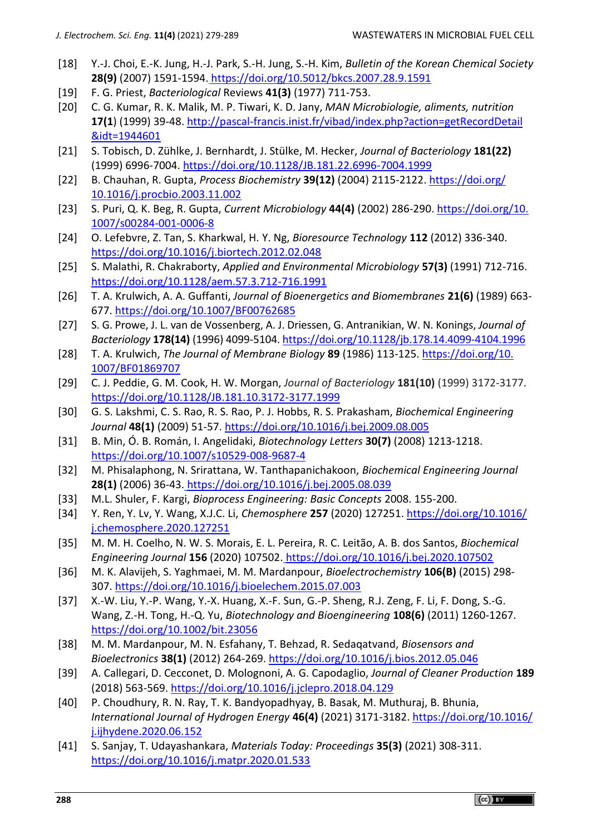- [18] Y.-J. Choi, E.-K. Jung, H.-J. Park, S.-H. Jung, S.-H. Kim, *Bulletin of the Korean Chemical Society* **28(9)** (2007) 1591-1594. <https://doi.org/10.5012/bkcs.2007.28.9.1591>
- [19] F. G. Priest, *Bacteriological* Reviews **41(3)** (1977) 711-753.
- [20] C. G. Kumar, R. K. Malik, M. P. Tiwari, K. D. Jany, *MAN Microbiologie, aliments, nutrition* **17(1**) (1999) 39-48. [http://pascal-francis.inist.fr/vibad/index.php?action=getRecordDetail](http://pascal-francis.inist.fr/vibad/index.php?action=getRecordDetail‌&idt=1944601) [&idt=1944601](http://pascal-francis.inist.fr/vibad/index.php?action=getRecordDetail‌&idt=1944601)
- [21] S. Tobisch, D. Zühlke, J. Bernhardt, J. Stülke, M. Hecker, *Journal of Bacteriology* **181(22)** (1999) 6996-7004. <https://doi.org/10.1128/JB.181.22.6996-7004.1999>
- [22] B. Chauhan, R. Gupta, *Process Biochemistry* **39(12)** (2004) 2115-2122. [https://doi.org/](https://doi.org/10.1016/j.procbio.2003.11.002) [10.1016/j.procbio.2003.11.002](https://doi.org/10.1016/j.procbio.2003.11.002)
- [23] S. Puri, Q. K. Beg, R. Gupta, *Current Microbiology* **44(4)** (2002) 286-290. [https://doi.org/10.](https://doi.org/10.1007/s00284-001-0006-8) [1007/s00284-001-0006-8](https://doi.org/10.1007/s00284-001-0006-8)
- [24] O. Lefebvre, Z. Tan, S. Kharkwal, H. Y. Ng, *Bioresource Technology* **112** (2012) 336-340. <https://doi.org/10.1016/j.biortech.2012.02.048>
- [25] S. Malathi, R. Chakraborty, *Applied and Environmental Microbiology* **57(3)** (1991) 712-716. <https://doi.org/10.1128/aem.57.3.712-716.1991>
- [26] T. A. Krulwich, A. A. Guffanti, *Journal of Bioenergetics and Biomembranes* **21(6)** (1989) 663- 677.<https://doi.org/10.1007/BF00762685>
- [27] S. G. Prowe, J. L. van de Vossenberg, A. J. Driessen, G. Antranikian, W. N. Konings, *Journal of Bacteriology* **178(14)** (1996) 4099-5104. <https://doi.org/10.1128/jb.178.14.4099-4104.1996>
- [28] T. A. Krulwich, *The Journal of Membrane Biology* **89** (1986) 113-125. [https://doi.org/10.](https://doi.org/10.1007/BF01869707) [1007/BF01869707](https://doi.org/10.1007/BF01869707)
- [29] C. J. Peddie, G. M. Cook, H. W. Morgan, *Journal of Bacteriology* **181(10)** (1999) 3172-3177. <https://doi.org/10.1128/JB.181.10.3172-3177.1999>
- [30] G. S. Lakshmi, C. S. Rao, R. S. Rao, P. J. Hobbs, R. S. Prakasham, *Biochemical Engineering Journal* **48(1)** (2009) 51-57.<https://doi.org/10.1016/j.bej.2009.08.005>
- [31] B. Min, Ó. B. Román, I. Angelidaki, *Biotechnology Letters* **30(7)** (2008) 1213-1218. <https://doi.org/10.1007/s10529-008-9687-4>
- [32] M. Phisalaphong, N. Srirattana, W. Tanthapanichakoon, *Biochemical Engineering Journal* **28(1)** (2006) 36-43. <https://doi.org/10.1016/j.bej.2005.08.039>
- [33] M.L. Shuler, F. Kargi, *Bioprocess Engineering: Basic Concepts* 2008. 155-200.
- [34] Y. Ren, Y. Lv, Y. Wang, X.J.C. Li, *Chemosphere* **257** (2020) 127251. [https://doi.org/10.1016/](https://doi.org/10.1016/j.chemosphere.2020.127251) [j.chemosphere.2020.127251](https://doi.org/10.1016/j.chemosphere.2020.127251)
- [35] M. M. H. Coelho, N. W. S. Morais, E. L. Pereira, R. C. Leitão, A. B. dos Santos, *Biochemical Engineering Journal* **156** (2020) 107502. <https://doi.org/10.1016/j.bej.2020.107502>
- [36] M. K. Alavijeh, S. Yaghmaei, M. M. Mardanpour, *Bioelectrochemistry* **106(B)** (2015) 298- 307.<https://doi.org/10.1016/j.bioelechem.2015.07.003>
- [37] X.-W. Liu, Y.-P. Wang, Y.-X. Huang, X.-F. Sun, G.-P. Sheng, R.J. Zeng, F. Li, F. Dong, S.-G. Wang, Z.-H. Tong, H.-Q. Yu, *Biotechnology and Bioengineering* **108(6)** (2011) 1260-1267. <https://doi.org/10.1002/bit.23056>
- [38] M. M. Mardanpour, M. N. Esfahany, T. Behzad, R. Sedaqatvand, *Biosensors and Bioelectronics* **38(1)** (2012) 264-269.<https://doi.org/10.1016/j.bios.2012.05.046>
- [39] A. Callegari, D. Cecconet, D. Molognoni, A. G. Capodaglio, *Journal of Cleaner Production* **189** (2018) 563-569.<https://doi.org/10.1016/j.jclepro.2018.04.129>
- [40] P. Choudhury, R. N. Ray, T. K. Bandyopadhyay, B. Basak, M. Muthuraj, B. Bhunia, *International Journal of Hydrogen Energy* **46(4)** (2021) 3171-3182. [https://doi.org/10.1016/](https://doi.org/10.1016/j.ijhydene.2020.06.152) [j.ijhydene.2020.06.152](https://doi.org/10.1016/j.ijhydene.2020.06.152)
- [41] S. Sanjay, T. Udayashankara, *Materials Today: Proceedings* **35(3)** (2021) 308-311. <https://doi.org/10.1016/j.matpr.2020.01.533>